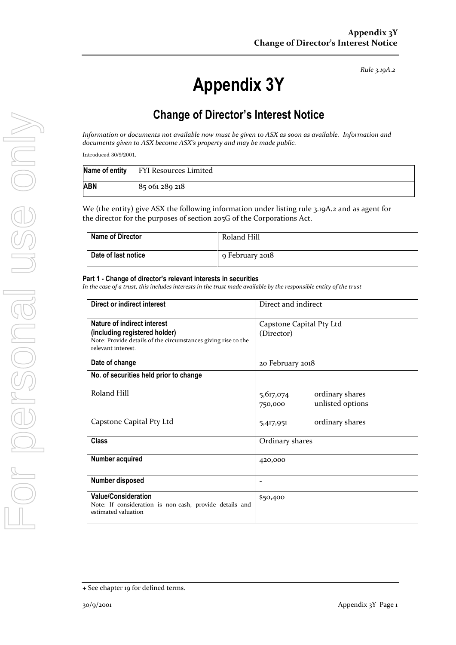*Rule 3.19A.2*

# **Appendix 3Y**

# **Change of Director's Interest Notice**

*Information or documents not available now must be given to ASX as soon as available. Information and documents given to ASX become ASX's property and may be made public.*

*Introduced 30/9/2001.*

|     | Name of entity FYI Resources Limited |
|-----|--------------------------------------|
| ABN | 85 061 289 218                       |

We (the entity) give ASX the following information under listing rule 3.19A.2 and as agent for the director for the purposes of section 205G of the Corporations Act.

| <b>Name of Director</b> | Roland Hill     |
|-------------------------|-----------------|
| Date of last notice     | 9 February 2018 |

#### **Part 1 - Change of director's relevant interests in securities**

*In the case of a trust, this includes interests in the trust made available by the responsible entity of the trust*

| Direct or indirect interest                                                                                                                         | Direct and indirect                                         |  |
|-----------------------------------------------------------------------------------------------------------------------------------------------------|-------------------------------------------------------------|--|
| Nature of indirect interest<br>(including registered holder)<br>Note: Provide details of the circumstances giving rise to the<br>relevant interest. | Capstone Capital Pty Ltd<br>(Director)                      |  |
| Date of change                                                                                                                                      | 20 February 2018                                            |  |
| No. of securities held prior to change                                                                                                              |                                                             |  |
| Roland Hill                                                                                                                                         | ordinary shares<br>5,617,074<br>unlisted options<br>750,000 |  |
| Capstone Capital Pty Ltd                                                                                                                            | ordinary shares<br>5,417,951                                |  |
| <b>Class</b>                                                                                                                                        | Ordinary shares                                             |  |
| <b>Number acquired</b>                                                                                                                              | 420,000                                                     |  |
| <b>Number disposed</b>                                                                                                                              |                                                             |  |
| <b>Value/Consideration</b><br>Note: If consideration is non-cash, provide details and<br>estimated valuation                                        | \$50,400                                                    |  |

<sup>+</sup> See chapter 19 for defined terms.